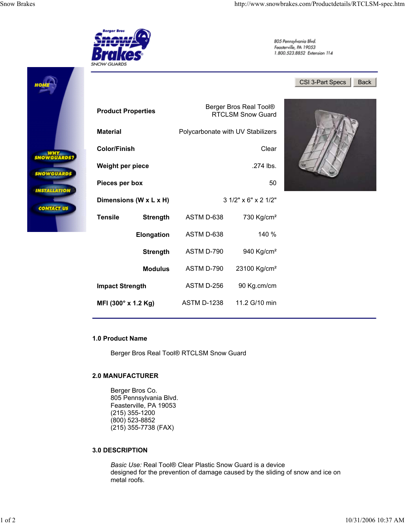#### **3.0 DESCRIPTION**

*Basic Use:* Real Tool® Clear Plastic Snow Guard is a device designed for the prevention of damage caused by the sliding of snow and ice on metal roofs.